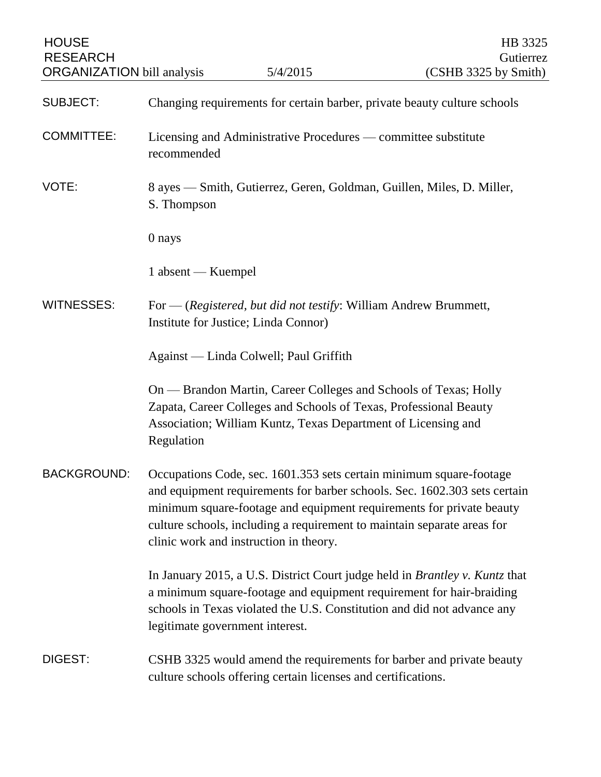| <b>HOUSE</b><br><b>RESEARCH</b><br><b>ORGANIZATION</b> bill analysis |                                                                                      | 5/4/2015                                                         | HB 3325<br>Gutierrez<br>(CSHB 3325 by Smith)                                                                                                                                                                                                                                                        |
|----------------------------------------------------------------------|--------------------------------------------------------------------------------------|------------------------------------------------------------------|-----------------------------------------------------------------------------------------------------------------------------------------------------------------------------------------------------------------------------------------------------------------------------------------------------|
| <b>SUBJECT:</b>                                                      | Changing requirements for certain barber, private beauty culture schools             |                                                                  |                                                                                                                                                                                                                                                                                                     |
| <b>COMMITTEE:</b>                                                    | Licensing and Administrative Procedures — committee substitute<br>recommended        |                                                                  |                                                                                                                                                                                                                                                                                                     |
| VOTE:                                                                | 8 ayes — Smith, Gutierrez, Geren, Goldman, Guillen, Miles, D. Miller,<br>S. Thompson |                                                                  |                                                                                                                                                                                                                                                                                                     |
|                                                                      | 0 nays                                                                               |                                                                  |                                                                                                                                                                                                                                                                                                     |
|                                                                      | 1 absent — Kuempel                                                                   |                                                                  |                                                                                                                                                                                                                                                                                                     |
| <b>WITNESSES:</b>                                                    | Institute for Justice; Linda Connor)                                                 | For — (Registered, but did not testify: William Andrew Brummett, |                                                                                                                                                                                                                                                                                                     |
|                                                                      | Against — Linda Colwell; Paul Griffith                                               |                                                                  |                                                                                                                                                                                                                                                                                                     |
|                                                                      | Regulation                                                                           | Association; William Kuntz, Texas Department of Licensing and    | On — Brandon Martin, Career Colleges and Schools of Texas; Holly<br>Zapata, Career Colleges and Schools of Texas, Professional Beauty                                                                                                                                                               |
| BACKGROUND:                                                          |                                                                                      | clinic work and instruction in theory.                           | Occupations Code, sec. 1601.353 sets certain minimum square-footage<br>and equipment requirements for barber schools. Sec. 1602.303 sets certain<br>minimum square-footage and equipment requirements for private beauty<br>culture schools, including a requirement to maintain separate areas for |
|                                                                      | legitimate government interest.                                                      |                                                                  | In January 2015, a U.S. District Court judge held in <i>Brantley v. Kuntz</i> that<br>a minimum square-footage and equipment requirement for hair-braiding<br>schools in Texas violated the U.S. Constitution and did not advance any                                                               |
| DIGEST:                                                              |                                                                                      | culture schools offering certain licenses and certifications.    | CSHB 3325 would amend the requirements for barber and private beauty                                                                                                                                                                                                                                |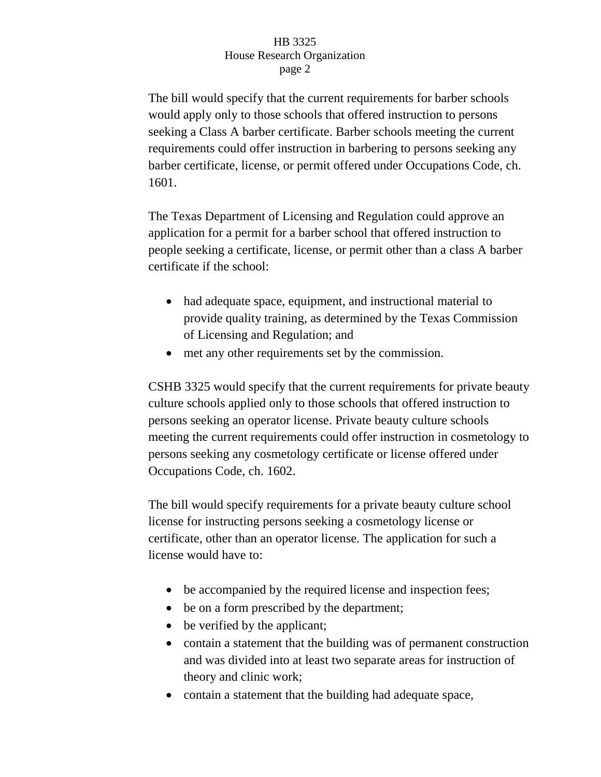## HB 3325 House Research Organization page 2

The bill would specify that the current requirements for barber schools would apply only to those schools that offered instruction to persons seeking a Class A barber certificate. Barber schools meeting the current requirements could offer instruction in barbering to persons seeking any barber certificate, license, or permit offered under Occupations Code, ch. 1601.

The Texas Department of Licensing and Regulation could approve an application for a permit for a barber school that offered instruction to people seeking a certificate, license, or permit other than a class A barber certificate if the school:

- had adequate space, equipment, and instructional material to provide quality training, as determined by the Texas Commission of Licensing and Regulation; and
- met any other requirements set by the commission.

CSHB 3325 would specify that the current requirements for private beauty culture schools applied only to those schools that offered instruction to persons seeking an operator license. Private beauty culture schools meeting the current requirements could offer instruction in cosmetology to persons seeking any cosmetology certificate or license offered under Occupations Code, ch. 1602.

The bill would specify requirements for a private beauty culture school license for instructing persons seeking a cosmetology license or certificate, other than an operator license. The application for such a license would have to:

- be accompanied by the required license and inspection fees;
- be on a form prescribed by the department;
- be verified by the applicant;
- contain a statement that the building was of permanent construction and was divided into at least two separate areas for instruction of theory and clinic work;
- contain a statement that the building had adequate space,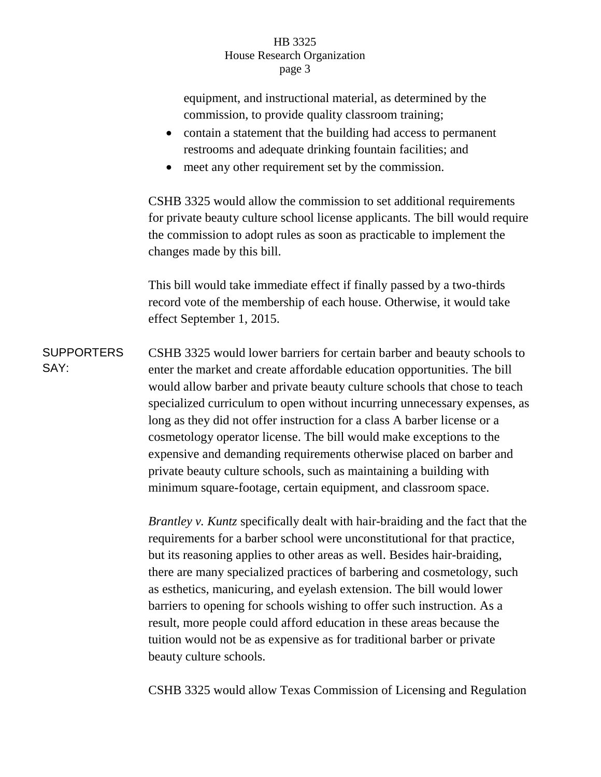## HB 3325 House Research Organization page 3

equipment, and instructional material, as determined by the commission, to provide quality classroom training;

- contain a statement that the building had access to permanent restrooms and adequate drinking fountain facilities; and
- meet any other requirement set by the commission.

CSHB 3325 would allow the commission to set additional requirements for private beauty culture school license applicants. The bill would require the commission to adopt rules as soon as practicable to implement the changes made by this bill.

This bill would take immediate effect if finally passed by a two-thirds record vote of the membership of each house. Otherwise, it would take effect September 1, 2015.

**SUPPORTERS** SAY: CSHB 3325 would lower barriers for certain barber and beauty schools to enter the market and create affordable education opportunities. The bill would allow barber and private beauty culture schools that chose to teach specialized curriculum to open without incurring unnecessary expenses, as long as they did not offer instruction for a class A barber license or a cosmetology operator license. The bill would make exceptions to the expensive and demanding requirements otherwise placed on barber and private beauty culture schools, such as maintaining a building with minimum square-footage, certain equipment, and classroom space.

> *Brantley v. Kuntz* specifically dealt with hair-braiding and the fact that the requirements for a barber school were unconstitutional for that practice, but its reasoning applies to other areas as well. Besides hair-braiding, there are many specialized practices of barbering and cosmetology, such as esthetics, manicuring, and eyelash extension. The bill would lower barriers to opening for schools wishing to offer such instruction. As a result, more people could afford education in these areas because the tuition would not be as expensive as for traditional barber or private beauty culture schools.

> CSHB 3325 would allow Texas Commission of Licensing and Regulation